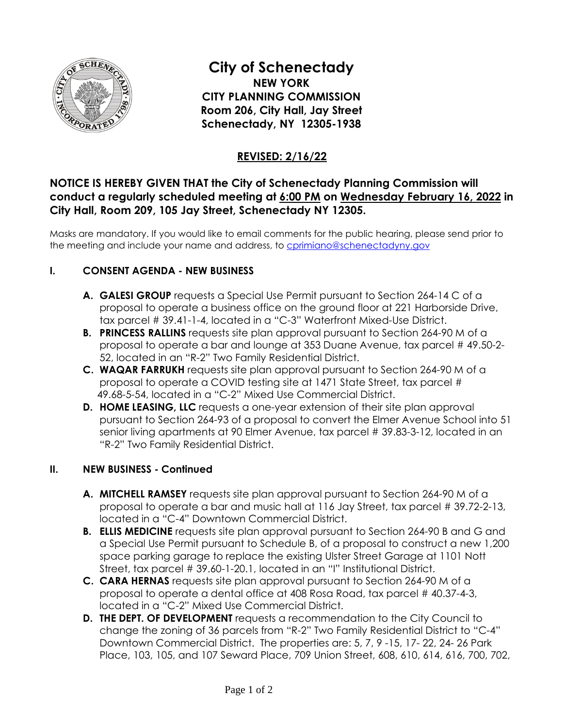

# **City of Schenectady**

**NEW YORK CITY PLANNING COMMISSION Room 206, City Hall, Jay Street Schenectady, NY 12305-1938** 

# **REVISED: 2/16/22**

# **NOTICE IS HEREBY GIVEN THAT the City of Schenectady Planning Commission will conduct a regularly scheduled meeting at 6:00 PM on Wednesday February 16, 2022 in City Hall, Room 209, 105 Jay Street, Schenectady NY 12305.**

Masks are mandatory. If you would like to email comments for the public hearing, please send prior to the meeting and include your name and address, to [cprimiano@schenectadyny.gov](mailto:cprimiano@schenectadyny.gov)

## **I. CONSENT AGENDA - NEW BUSINESS**

- **A. GALESI GROUP** requests a Special Use Permit pursuant to Section 264-14 C of a proposal to operate a business office on the ground floor at 221 Harborside Drive, tax parcel # 39.41-1-4, located in a "C-3" Waterfront Mixed-Use District.
- **B. PRINCESS RALLINS** requests site plan approval pursuant to Section 264-90 M of a proposal to operate a bar and lounge at 353 Duane Avenue, tax parcel # 49.50-2- 52, located in an "R-2" Two Family Residential District.
- **C. WAQAR FARRUKH** requests site plan approval pursuant to Section 264-90 M of a proposal to operate a COVID testing site at 1471 State Street, tax parcel # 49.68-5-54, located in a "C-2" Mixed Use Commercial District.
- **D. HOME LEASING, LLC** requests a one-year extension of their site plan approval pursuant to Section 264-93 of a proposal to convert the Elmer Avenue School into 51 senior living apartments at 90 Elmer Avenue, tax parcel # 39.83-3-12, located in an "R-2" Two Family Residential District.

### **II. NEW BUSINESS - Continued**

- **A. MITCHELL RAMSEY** requests site plan approval pursuant to Section 264-90 M of a proposal to operate a bar and music hall at 116 Jay Street, tax parcel # 39.72-2-13, located in a "C-4" Downtown Commercial District.
- **B. ELLIS MEDICINE** requests site plan approval pursuant to Section 264-90 B and G and a Special Use Permit pursuant to Schedule B, of a proposal to construct a new 1,200 space parking garage to replace the existing Ulster Street Garage at 1101 Nott Street, tax parcel # 39.60-1-20.1, located in an "I" Institutional District.
- **C. CARA HERNAS** requests site plan approval pursuant to Section 264-90 M of a proposal to operate a dental office at 408 Rosa Road, tax parcel # 40.37-4-3, located in a "C-2" Mixed Use Commercial District.
- **D. THE DEPT. OF DEVELOPMENT** requests a recommendation to the City Council to change the zoning of 36 parcels from "R-2" Two Family Residential District to "C-4" Downtown Commercial District. The properties are: 5, 7, 9 -15, 17- 22, 24- 26 Park Place, 103, 105, and 107 Seward Place, 709 Union Street, 608, 610, 614, 616, 700, 702,